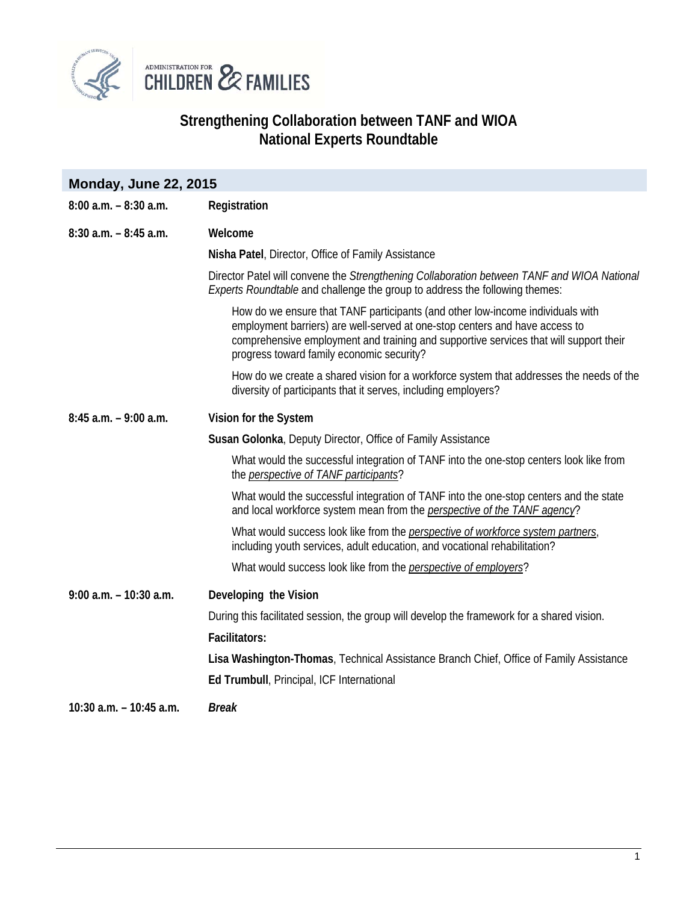

## **Strengthening Collaboration between TANF and WIOA National Experts Roundtable**

| <b>Monday, June 22, 2015</b> |                                                                                                                                                                                                                                                                                                     |
|------------------------------|-----------------------------------------------------------------------------------------------------------------------------------------------------------------------------------------------------------------------------------------------------------------------------------------------------|
| $8:00$ a.m. $-8:30$ a.m.     | Registration                                                                                                                                                                                                                                                                                        |
| $8:30$ a.m. $-8:45$ a.m.     | Welcome                                                                                                                                                                                                                                                                                             |
|                              | Nisha Patel, Director, Office of Family Assistance                                                                                                                                                                                                                                                  |
|                              | Director Patel will convene the Strengthening Collaboration between TANF and WIOA National<br>Experts Roundtable and challenge the group to address the following themes:                                                                                                                           |
|                              | How do we ensure that TANF participants (and other low-income individuals with<br>employment barriers) are well-served at one-stop centers and have access to<br>comprehensive employment and training and supportive services that will support their<br>progress toward family economic security? |
|                              | How do we create a shared vision for a workforce system that addresses the needs of the<br>diversity of participants that it serves, including employers?                                                                                                                                           |
| $8:45$ a.m. $-9:00$ a.m.     | Vision for the System                                                                                                                                                                                                                                                                               |
|                              | Susan Golonka, Deputy Director, Office of Family Assistance                                                                                                                                                                                                                                         |
|                              | What would the successful integration of TANF into the one-stop centers look like from<br>the <i>perspective of TANF participants</i> ?                                                                                                                                                             |
|                              | What would the successful integration of TANF into the one-stop centers and the state<br>and local workforce system mean from the <i>perspective of the TANF agency</i> ?                                                                                                                           |
|                              | What would success look like from the <i>perspective of workforce system partners</i> ,<br>including youth services, adult education, and vocational rehabilitation?                                                                                                                                |
|                              | What would success look like from the <i>perspective of employers</i> ?                                                                                                                                                                                                                             |
| $9:00$ a.m. $-10:30$ a.m.    | Developing the Vision                                                                                                                                                                                                                                                                               |
|                              | During this facilitated session, the group will develop the framework for a shared vision.                                                                                                                                                                                                          |
|                              | <b>Facilitators:</b>                                                                                                                                                                                                                                                                                |
|                              | Lisa Washington-Thomas, Technical Assistance Branch Chief, Office of Family Assistance                                                                                                                                                                                                              |
|                              | Ed Trumbull, Principal, ICF International                                                                                                                                                                                                                                                           |
| 10:30 a.m. - 10:45 a.m.      | <b>Break</b>                                                                                                                                                                                                                                                                                        |